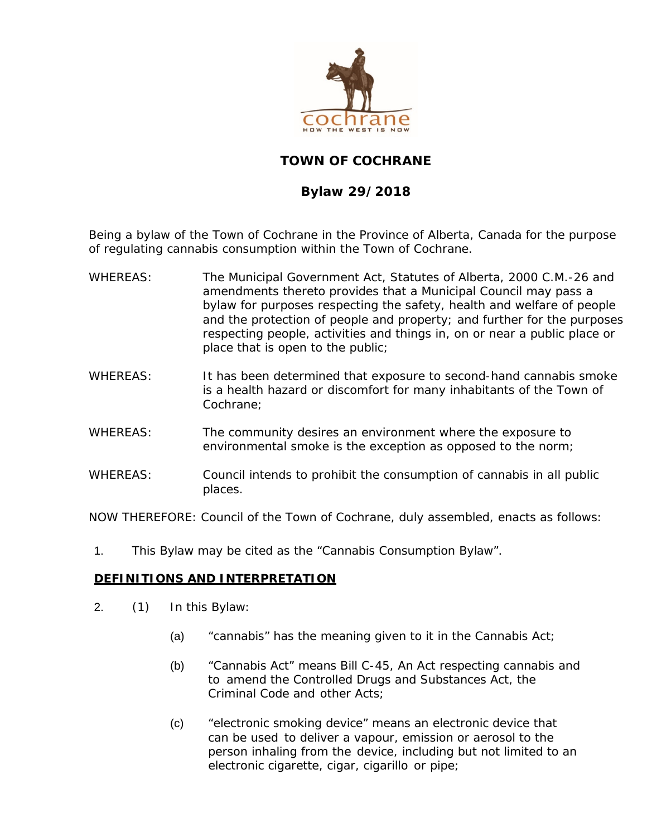

# **TOWN OF COCHRANE**

# **Bylaw 29/2018**

Being a bylaw of the Town of Cochrane in the Province of Alberta, Canada for the purpose of regulating cannabis consumption within the Town of Cochrane.

- WHEREAS: The *Municipal Government Act*, Statutes of Alberta, 2000 C.M.-26 and amendments thereto provides that a Municipal Council may pass a bylaw for purposes respecting the safety, health and welfare of people and the protection of people and property; and further for the purposes respecting people, activities and things in, on or near a public place or place that is open to the public;
- WHEREAS: It has been determined that exposure to second-hand cannabis smoke is a health hazard or discomfort for many inhabitants of the Town of Cochrane;
- WHEREAS: The community desires an environment where the exposure to environmental smoke is the exception as opposed to the norm;
- WHEREAS: Council intends to prohibit the consumption of cannabis in all public places.

NOW THEREFORE: Council of the Town of Cochrane, duly assembled, enacts as follows:

1. This Bylaw may be cited as the "Cannabis Consumption Bylaw".

#### **DEFINITIONS AND INTERPRETATION**

- 2. (1) In this Bylaw:
	- (a) "*cannabis*" has the meaning given to it in the *Cannabis Act*;
	- (b) "*Cannabis Act*" means Bill C-45, *An Act respecting cannabis and to amend the Controlled Drugs and Substances Act, the Criminal Code and other Acts*;
	- (c) "*electronic smoking device*" means an electronic device that can be used to deliver a vapour, emission or aerosol to the person inhaling from the device, including but not limited to an electronic cigarette, cigar, cigarillo or pipe;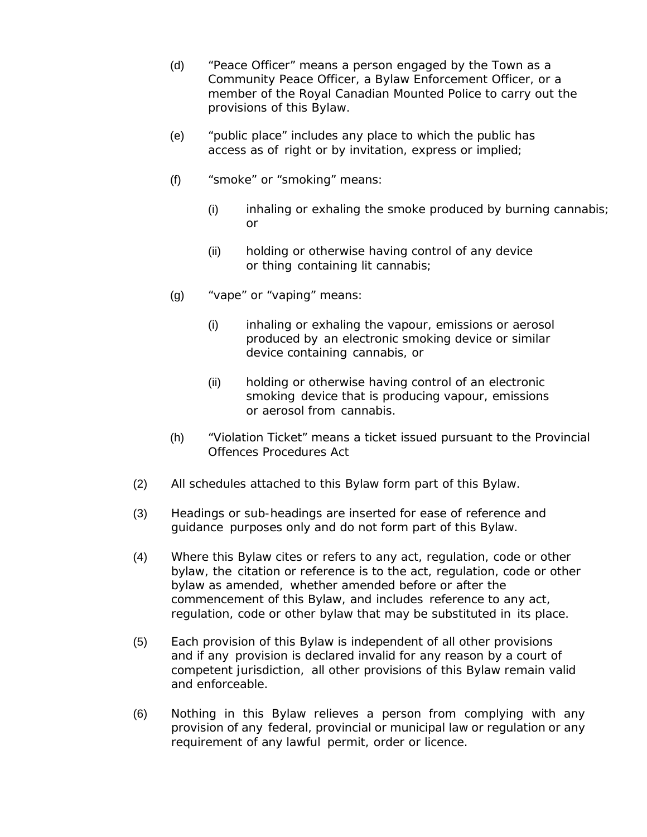- (d) "*Peace Officer*" means a person engaged by the Town as a Community Peace Officer, a Bylaw Enforcement Officer, or a member of the Royal Canadian Mounted Police to carry out the provisions of this Bylaw.
- (e) "*public place*" includes any place to which the public has access as of right or by invitation, express or implied;
- (f) "*smoke*" or "*smoking*" means:
	- (i) inhaling or exhaling the smoke produced by burning *cannabis*; or
	- (ii) holding or otherwise having control of any device or thing containing lit *cannabis*;
- (g) "*vape*" or "*vaping*" means:
	- (i) inhaling or exhaling the vapour, emissions or aerosol produced by an *electronic smoking device* or similar device containing *cannabis*, or
	- (ii) holding or otherwise having control of an *electronic smoking device* that is producing vapour, emissions or aerosol from *cannabis*.
- (h) *"Violation Ticket"* means a ticket issued pursuant to the Provincial Offences Procedures Act
- (2) All schedules attached to this Bylaw form part of this Bylaw*.*
- (3) Headings or sub-headings are inserted for ease of reference and guidance purposes only and do not form part of this Bylaw.
- (4) Where this Bylaw cites or refers to any act, regulation, code or other bylaw, the citation or reference is to the act, regulation, code or other bylaw as amended, whether amended before or after the commencement of this Bylaw, and includes reference to any act, regulation, code or other bylaw that may be substituted in its place.
- (5) Each provision of this Bylaw is independent of all other provisions and if any provision is declared invalid for any reason by a court of competent jurisdiction, all other provisions of this Bylaw remain valid and enforceable.
- (6) Nothing in this Bylaw relieves a person from complying with any provision of any federal, provincial or municipal law or regulation or any requirement of any lawful permit, order or licence.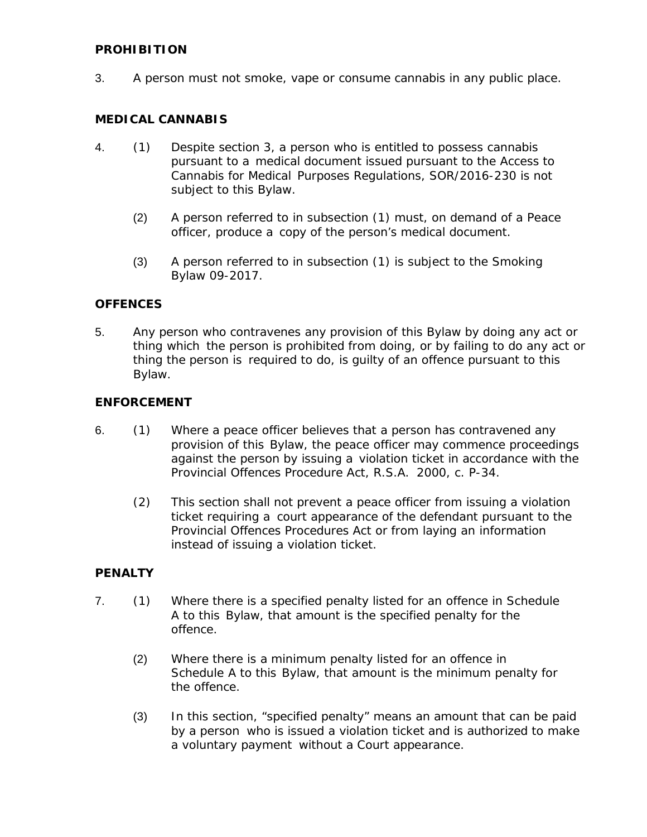## **PROHIBITION**

3. A person must not *smoke*, *vape* or consume *cannabis* in any *public place*.

#### **MEDICAL CANNABIS**

- 4. (1) Despite section 3, a person who is entitled to possess *cannabis*  pursuant to a medical document issued pursuant to the *Access to Cannabis for Medical Purposes Regulations*, SOR/2016-230 is not subject to this Bylaw.
	- (2) A person referred to in subsection (1) must, on demand of a *Peace officer*, produce a copy of the person's medical document.
	- (3) A person referred to in subsection (1) is subject to the Smoking Bylaw 09-2017.

## **OFFENCES**

5. Any person who contravenes any provision of this Bylaw by doing any act or thing which the person is prohibited from doing, or by failing to do any act or thing the person is required to do, is guilty of an offence pursuant to this Bylaw.

#### **ENFORCEMENT**

- 6. (1) Where a *peace officer* believes that a person has contravened any provision of this Bylaw, the *peace officer* may commence proceedings against the person by issuing a violation ticket in accordance with the *Provincial Offences Procedure Act*, R.S.A. 2000, c. P-34.
	- (2) This section shall not prevent a *peace officer* from issuing a violation ticket requiring a court appearance of the defendant pursuant to the *Provincial Offences Procedures Act* or from laying an information instead of issuing a violation ticket.

#### **PENALTY**

- 7. (1) Where there is a specified penalty listed for an offence in Schedule A to this Bylaw, that amount is the specified penalty for the offence.
	- (2) Where there is a minimum penalty listed for an offence in Schedule A to this Bylaw, that amount is the minimum penalty for the offence.
	- (3) In this section, "specified penalty" means an amount that can be paid by a person who is issued a violation ticket and is authorized to make a voluntary payment without a Court appearance.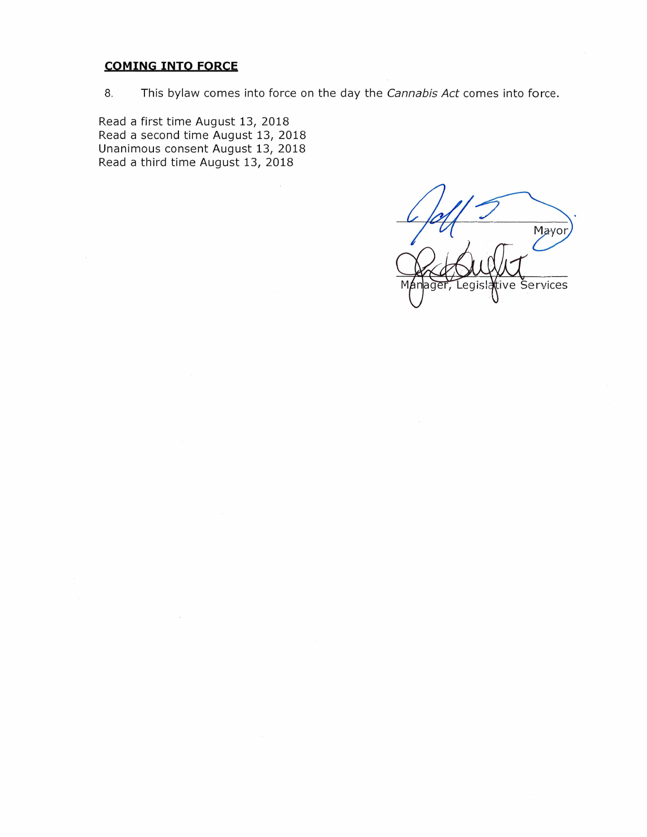## **COMING INTO FORCE**

8. This bylaw comes into force on the day the *Cannabis Act* comes into force.

Read <sup>a</sup> first time August 13, 2018 Read a second time August 13, 2018 Unanimous consent August 13, 2018 Read a third time August 13, 2018

Mayor tive Šervices egisla